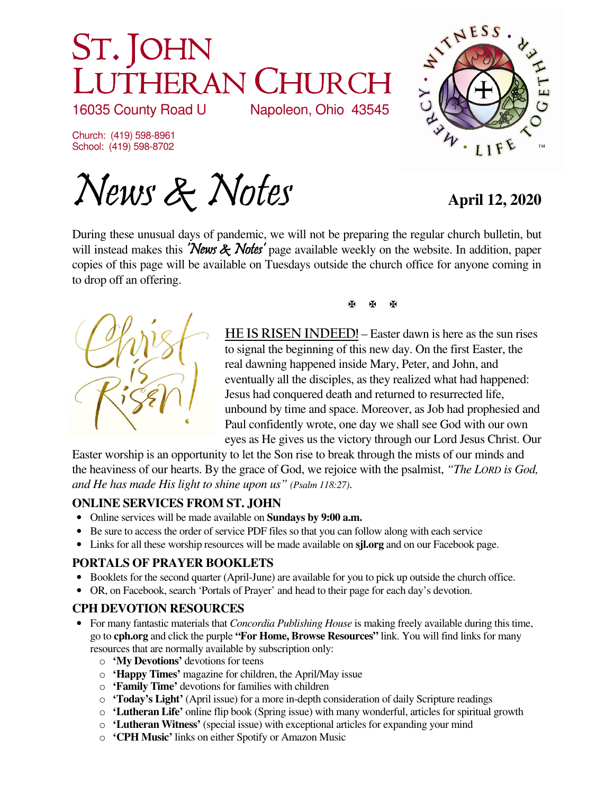# ST. JOHN UTHERAN CHURCH<br>35 County Road U Napoleon, Ohio 43545

16035 County Road U

Church: (419) 598-8961 School: (419) 598-8702

News & Notes **April 12, 2020** 

TNESS WW · LIF

During these unusual days of pandemic, we will not be preparing the regular church bulletin, but will instead makes this 'News & Notes' page available weekly on the website. In addition, paper copies of this page will be available on Tuesdays outside the church office for anyone coming in to drop off an offering.



 - - $\overline{\mathbf{x}}$ 

**HE IS RISEN INDEED!** – Easter dawn is here as the sun rises to signal the beginning of this new day. On the first Easter, the real dawning happened inside Mary, Peter, and John, and eventually all the disciples, as they realized what had happened: Jesus had conquered death and returned to resurrected life, unbound by time and space. Moreover, as Job had prophesied and Paul confidently wrote, one day we shall see God with our own eyes as He gives us the victory through our Lord Jesus Christ. Our

Easter worship is an opportunity to let the Son rise to break through the mists of our minds and the heaviness of our hearts. By the grace of God, we rejoice with the psalmist, *"The LORD is God, and He has made His light to shine upon us" (Psalm 118:27)*.

## **ONLINE SERVICES FROM ST. JOHN**

- Online services will be made available on **Sundays by 9:00 a.m.**
- Be sure to access the order of service PDF files so that you can follow along with each service
- Links for all these worship resources will be made available on **sjl.org** and on our Facebook page.

## **PORTALS OF PRAYER BOOKLETS**

- Booklets for the second quarter (April-June) are available for you to pick up outside the church office.
- OR, on Facebook, search 'Portals of Prayer' and head to their page for each day's devotion.

## **CPH DEVOTION RESOURCES**

- For many fantastic materials that *Concordia Publishing House* is making freely available during this time, go to **cph.org** and click the purple **"For Home, Browse Resources"** link. You will find links for many resources that are normally available by subscription only:
	- o **'My Devotions'** devotions for teens
	- o **'Happy Times'** magazine for children, the April/May issue
	- o **'Family Time'** devotions for families with children
	- o **'Today's Light'** (April issue) for a more in-depth consideration of daily Scripture readings
	- o **'Lutheran Life'** online flip book (Spring issue) with many wonderful, articles for spiritual growth
	- o **'Lutheran Witness'** (special issue) with exceptional articles for expanding your mind
	- o **'CPH Music'** links on either Spotify or Amazon Music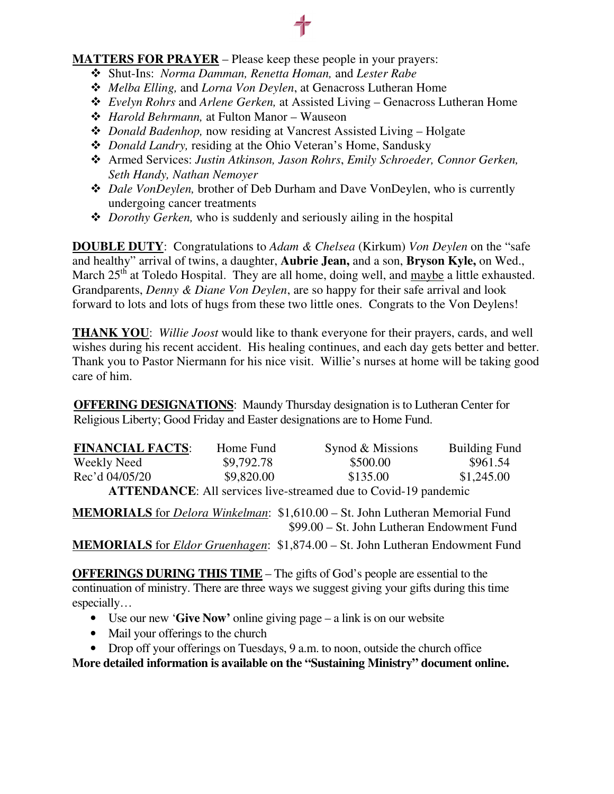#### **MATTERS FOR PRAYER** – Please keep these people in your prayers:

- Shut-Ins: *Norma Damman, Renetta Homan,* and *Lester Rabe*
- *Melba Elling,* and *Lorna Von Deylen*, at Genacross Lutheran Home
- *Evelyn Rohrs* and *Arlene Gerken,* at Assisted Living Genacross Lutheran Home
- *Harold Behrmann,* at Fulton Manor Wauseon
- *Donald Badenhop,* now residing at Vancrest Assisted Living Holgate
- *Donald Landry,* residing at the Ohio Veteran's Home, Sandusky
- Armed Services: *Justin Atkinson, Jason Rohrs*, *Emily Schroeder, Connor Gerken, Seth Handy, Nathan Nemoyer*
- *Dale VonDeylen,* brother of Deb Durham and Dave VonDeylen, who is currently undergoing cancer treatments
- *Dorothy Gerken,* who is suddenly and seriously ailing in the hospital

**DOUBLE DUTY**: Congratulations to *Adam & Chelsea* (Kirkum) *Von Deylen* on the "safe and healthy" arrival of twins, a daughter, **Aubrie Jean,** and a son, **Bryson Kyle,** on Wed., March  $25<sup>th</sup>$  at Toledo Hospital. They are all home, doing well, and  $\frac{\text{maybe}}{\text{maybe}}$  a little exhausted. Grandparents, *Denny & Diane Von Deylen*, are so happy for their safe arrival and look forward to lots and lots of hugs from these two little ones. Congrats to the Von Deylens!

**THANK YOU**: *Willie Joost* would like to thank everyone for their prayers, cards, and well wishes during his recent accident. His healing continues, and each day gets better and better. Thank you to Pastor Niermann for his nice visit. Willie's nurses at home will be taking good care of him.

**OFFERING DESIGNATIONS**: Maundy Thursday designation is to Lutheran Center for Religious Liberty; Good Friday and Easter designations are to Home Fund.

| <b>FINANCIAL FACTS:</b>                                                | Home Fund  | Synod & Missions | <b>Building Fund</b> |
|------------------------------------------------------------------------|------------|------------------|----------------------|
| Weekly Need                                                            | \$9,792.78 | \$500.00         | \$961.54             |
| Rec'd 04/05/20                                                         | \$9,820.00 | \$135.00         | \$1,245.00           |
| <b>ATTENDANCE:</b> All services live-streamed due to Covid-19 pandemic |            |                  |                      |

**MEMORIALS** for *Delora Winkelman*: \$1,610.00 – St. John Lutheran Memorial Fund \$99.00 – St. John Lutheran Endowment Fund

**MEMORIALS** for *Eldor Gruenhagen*: \$1,874.00 – St. John Lutheran Endowment Fund

**OFFERINGS DURING THIS TIME** – The gifts of God's people are essential to the continuation of ministry. There are three ways we suggest giving your gifts during this time especially…

- Use our new '**Give Now'** online giving page a link is on our website
- Mail your offerings to the church
- Drop off your offerings on Tuesdays, 9 a.m. to noon, outside the church office

**More detailed information is available on the "Sustaining Ministry" document online.**